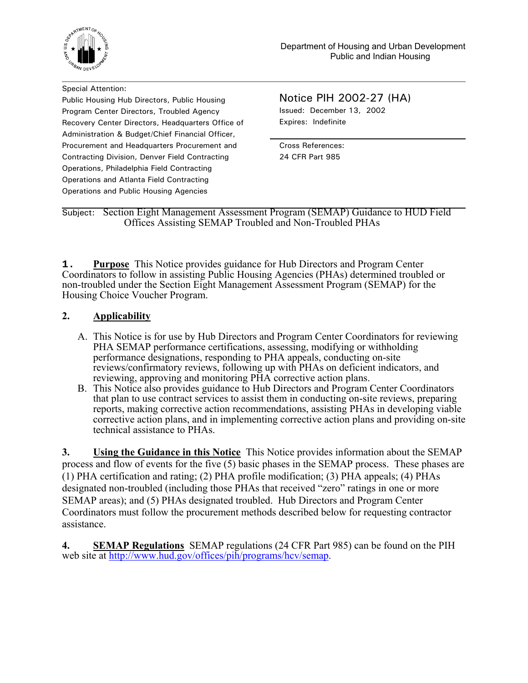

Special Attention: Public Housing Hub Directors, Public Housing Program Center Directors, Troubled Agency Recovery Center Directors, Headquarters Office of Administration & Budget/Chief Financial Officer, Procurement and Headquarters Procurement and Contracting Division, Denver Field Contracting Operations, Philadelphia Field Contracting Operations and Atlanta Field Contracting Operations and Public Housing Agencies

Notice PIH 2002-27 (HA) Issued: December 13, 2002 Expires: Indefinite

Cross References: 24 CFR Part 985

Subject: Section Eight Management Assessment Program (SEMAP) Guidance to HUD Field Offices Assisting SEMAP Troubled and Non-Troubled PHAs

**1. Purpose** This Notice provides guidance for Hub Directors and Program Center Coordinators to follow in assisting Public Housing Agencies (PHAs) determined troubled or non-troubled under the Section Eight Management Assessment Program (SEMAP) for the Housing Choice Voucher Program.

# **2. Applicability**

- A. This Notice is for use by Hub Directors and Program Center Coordinators for reviewing PHA SEMAP performance certifications, assessing, modifying or withholding performance designations, responding to PHA appeals, conducting on-site reviews/confirmatory reviews, following up with PHAs on deficient indicators, and reviewing, approving and monitoring PHA corrective action plans.
- B. This Notice also provides guidance to Hub Directors and Program Center Coordinators that plan to use contract services to assist them in conducting on-site reviews, preparing reports, making corrective action recommendations, assisting PHAs in developing viable corrective action plans, and in implementing corrective action plans and providing on-site technical assistance to PHAs.

**3. Using the Guidance in this Notice** This Notice provides information about the SEMAP process and flow of events for the five (5) basic phases in the SEMAP process. These phases are (1) PHA certification and rating; (2) PHA profile modification; (3) PHA appeals; (4) PHAs designated non-troubled (including those PHAs that received "zero" ratings in one or more SEMAP areas); and (5) PHAs designated troubled. Hub Directors and Program Center Coordinators must follow the procurement methods described below for requesting contractor assistance.

**4. SEMAP Regulations** SEMAP regulations (24 CFR Part 985) can be found on the PIH web site at http://www.hud.gov/offices/pih/programs/hcv/semap.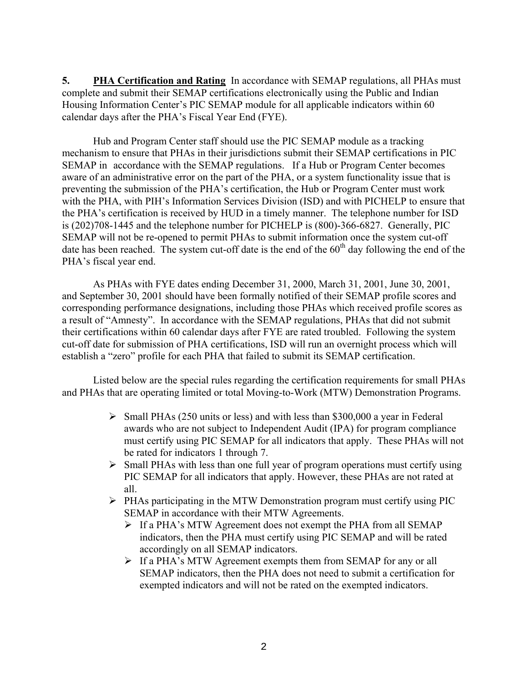**5.** PHA Certification and Rating In accordance with SEMAP regulations, all PHAs must complete and submit their SEMAP certifications electronically using the Public and Indian Housing Information Center's PIC SEMAP module for all applicable indicators within 60 calendar days after the PHA's Fiscal Year End (FYE).

Hub and Program Center staff should use the PIC SEMAP module as a tracking mechanism to ensure that PHAs in their jurisdictions submit their SEMAP certifications in PIC SEMAP in accordance with the SEMAP regulations. If a Hub or Program Center becomes aware of an administrative error on the part of the PHA, or a system functionality issue that is preventing the submission of the PHA's certification, the Hub or Program Center must work with the PHA, with PIH's Information Services Division (ISD) and with PICHELP to ensure that the PHA's certification is received by HUD in a timely manner. The telephone number for ISD is (202)708-1445 and the telephone number for PICHELP is (800)-366-6827. Generally, PIC SEMAP will not be re-opened to permit PHAs to submit information once the system cut-off date has been reached. The system cut-off date is the end of the  $60<sup>th</sup>$  day following the end of the PHA's fiscal year end.

As PHAs with FYE dates ending December 31, 2000, March 31, 2001, June 30, 2001, and September 30, 2001 should have been formally notified of their SEMAP profile scores and corresponding performance designations, including those PHAs which received profile scores as a result of "Amnesty". In accordance with the SEMAP regulations, PHAs that did not submit their certifications within 60 calendar days after FYE are rated troubled. Following the system cut-off date for submission of PHA certifications, ISD will run an overnight process which will establish a "zero" profile for each PHA that failed to submit its SEMAP certification.

Listed below are the special rules regarding the certification requirements for small PHAs and PHAs that are operating limited or total Moving-to-Work (MTW) Demonstration Programs.

- ¾ Small PHAs (250 units or less) and with less than \$300,000 a year in Federal awards who are not subject to Independent Audit (IPA) for program compliance must certify using PIC SEMAP for all indicators that apply. These PHAs will not be rated for indicators 1 through 7.
- $\triangleright$  Small PHAs with less than one full year of program operations must certify using PIC SEMAP for all indicators that apply. However, these PHAs are not rated at all.
- $\triangleright$  PHAs participating in the MTW Demonstration program must certify using PIC SEMAP in accordance with their MTW Agreements.
	- ¾ If a PHA's MTW Agreement does not exempt the PHA from all SEMAP indicators, then the PHA must certify using PIC SEMAP and will be rated accordingly on all SEMAP indicators.
	- ¾ If a PHA's MTW Agreement exempts them from SEMAP for any or all SEMAP indicators, then the PHA does not need to submit a certification for exempted indicators and will not be rated on the exempted indicators.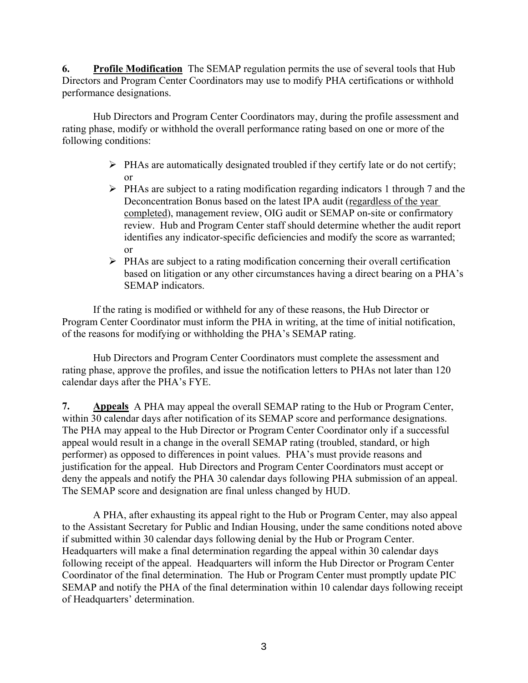**6. Profile Modification** The SEMAP regulation permits the use of several tools that Hub Directors and Program Center Coordinators may use to modify PHA certifications or withhold performance designations.

Hub Directors and Program Center Coordinators may, during the profile assessment and rating phase, modify or withhold the overall performance rating based on one or more of the following conditions:

- $\triangleright$  PHAs are automatically designated troubled if they certify late or do not certify; or
- $\triangleright$  PHAs are subject to a rating modification regarding indicators 1 through 7 and the Deconcentration Bonus based on the latest IPA audit (regardless of the year completed), management review, OIG audit or SEMAP on-site or confirmatory review. Hub and Program Center staff should determine whether the audit report identifies any indicator-specific deficiencies and modify the score as warranted; or
- $\triangleright$  PHAs are subject to a rating modification concerning their overall certification based on litigation or any other circumstances having a direct bearing on a PHA's SEMAP indicators.

If the rating is modified or withheld for any of these reasons, the Hub Director or Program Center Coordinator must inform the PHA in writing, at the time of initial notification, of the reasons for modifying or withholding the PHA's SEMAP rating.

Hub Directors and Program Center Coordinators must complete the assessment and rating phase, approve the profiles, and issue the notification letters to PHAs not later than 120 calendar days after the PHA's FYE.

**7. Appeals** A PHA may appeal the overall SEMAP rating to the Hub or Program Center, within 30 calendar days after notification of its SEMAP score and performance designations. The PHA may appeal to the Hub Director or Program Center Coordinator only if a successful appeal would result in a change in the overall SEMAP rating (troubled, standard, or high performer) as opposed to differences in point values. PHA's must provide reasons and justification for the appeal. Hub Directors and Program Center Coordinators must accept or deny the appeals and notify the PHA 30 calendar days following PHA submission of an appeal. The SEMAP score and designation are final unless changed by HUD.

 A PHA, after exhausting its appeal right to the Hub or Program Center, may also appeal to the Assistant Secretary for Public and Indian Housing, under the same conditions noted above if submitted within 30 calendar days following denial by the Hub or Program Center. Headquarters will make a final determination regarding the appeal within 30 calendar days following receipt of the appeal. Headquarters will inform the Hub Director or Program Center Coordinator of the final determination. The Hub or Program Center must promptly update PIC SEMAP and notify the PHA of the final determination within 10 calendar days following receipt of Headquarters' determination.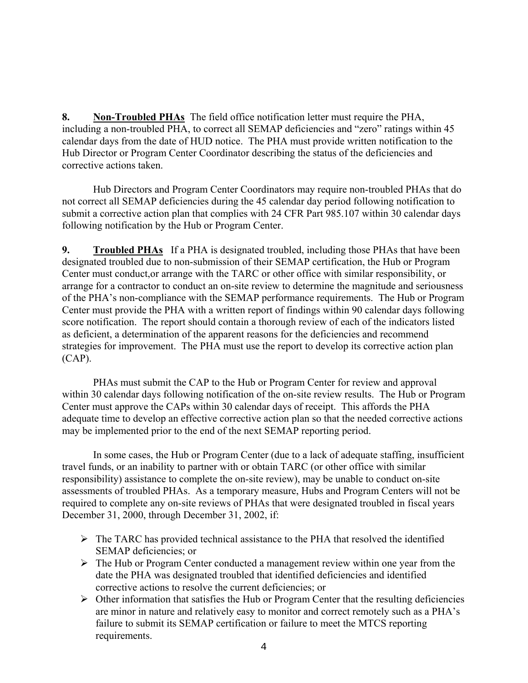**8. Non-Troubled PHAs** The field office notification letter must require the PHA, including a non-troubled PHA, to correct all SEMAP deficiencies and "zero" ratings within 45 calendar days from the date of HUD notice. The PHA must provide written notification to the Hub Director or Program Center Coordinator describing the status of the deficiencies and corrective actions taken.

Hub Directors and Program Center Coordinators may require non-troubled PHAs that do not correct all SEMAP deficiencies during the 45 calendar day period following notification to submit a corrective action plan that complies with 24 CFR Part 985.107 within 30 calendar days following notification by the Hub or Program Center.

**9. Troubled PHAs** If a PHA is designated troubled, including those PHAs that have been designated troubled due to non-submission of their SEMAP certification, the Hub or Program Center must conduct,or arrange with the TARC or other office with similar responsibility, or arrange for a contractor to conduct an on-site review to determine the magnitude and seriousness of the PHA's non-compliance with the SEMAP performance requirements. The Hub or Program Center must provide the PHA with a written report of findings within 90 calendar days following score notification. The report should contain a thorough review of each of the indicators listed as deficient, a determination of the apparent reasons for the deficiencies and recommend strategies for improvement. The PHA must use the report to develop its corrective action plan (CAP).

PHAs must submit the CAP to the Hub or Program Center for review and approval within 30 calendar days following notification of the on-site review results. The Hub or Program Center must approve the CAPs within 30 calendar days of receipt. This affords the PHA adequate time to develop an effective corrective action plan so that the needed corrective actions may be implemented prior to the end of the next SEMAP reporting period.

In some cases, the Hub or Program Center (due to a lack of adequate staffing, insufficient travel funds, or an inability to partner with or obtain TARC (or other office with similar responsibility) assistance to complete the on-site review), may be unable to conduct on-site assessments of troubled PHAs. As a temporary measure, Hubs and Program Centers will not be required to complete any on-site reviews of PHAs that were designated troubled in fiscal years December 31, 2000, through December 31, 2002, if:

- $\triangleright$  The TARC has provided technical assistance to the PHA that resolved the identified SEMAP deficiencies; or
- $\triangleright$  The Hub or Program Center conducted a management review within one year from the date the PHA was designated troubled that identified deficiencies and identified corrective actions to resolve the current deficiencies; or
- $\triangleright$  Other information that satisfies the Hub or Program Center that the resulting deficiencies are minor in nature and relatively easy to monitor and correct remotely such as a PHA's failure to submit its SEMAP certification or failure to meet the MTCS reporting requirements.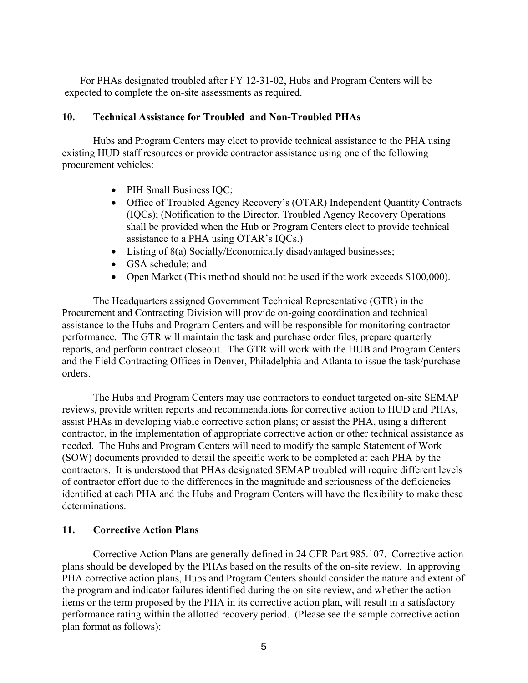For PHAs designated troubled after FY 12-31-02, Hubs and Program Centers will be expected to complete the on-site assessments as required.

## **10. Technical Assistance for Troubled and Non-Troubled PHAs**

Hubs and Program Centers may elect to provide technical assistance to the PHA using existing HUD staff resources or provide contractor assistance using one of the following procurement vehicles:

- PIH Small Business IQC;
- Office of Troubled Agency Recovery's (OTAR) Independent Quantity Contracts (IQCs); (Notification to the Director, Troubled Agency Recovery Operations shall be provided when the Hub or Program Centers elect to provide technical assistance to a PHA using OTAR's IQCs.)
- Listing of 8(a) Socially/Economically disadvantaged businesses;
- GSA schedule; and
- Open Market (This method should not be used if the work exceeds \$100,000).

The Headquarters assigned Government Technical Representative (GTR) in the Procurement and Contracting Division will provide on-going coordination and technical assistance to the Hubs and Program Centers and will be responsible for monitoring contractor performance. The GTR will maintain the task and purchase order files, prepare quarterly reports, and perform contract closeout. The GTR will work with the HUB and Program Centers and the Field Contracting Offices in Denver, Philadelphia and Atlanta to issue the task/purchase orders.

The Hubs and Program Centers may use contractors to conduct targeted on-site SEMAP reviews, provide written reports and recommendations for corrective action to HUD and PHAs, assist PHAs in developing viable corrective action plans; or assist the PHA, using a different contractor, in the implementation of appropriate corrective action or other technical assistance as needed. The Hubs and Program Centers will need to modify the sample Statement of Work (SOW) documents provided to detail the specific work to be completed at each PHA by the contractors. It is understood that PHAs designated SEMAP troubled will require different levels of contractor effort due to the differences in the magnitude and seriousness of the deficiencies identified at each PHA and the Hubs and Program Centers will have the flexibility to make these determinations.

## **11. Corrective Action Plans**

Corrective Action Plans are generally defined in 24 CFR Part 985.107. Corrective action plans should be developed by the PHAs based on the results of the on-site review. In approving PHA corrective action plans, Hubs and Program Centers should consider the nature and extent of the program and indicator failures identified during the on-site review, and whether the action items or the term proposed by the PHA in its corrective action plan, will result in a satisfactory performance rating within the allotted recovery period. (Please see the sample corrective action plan format as follows):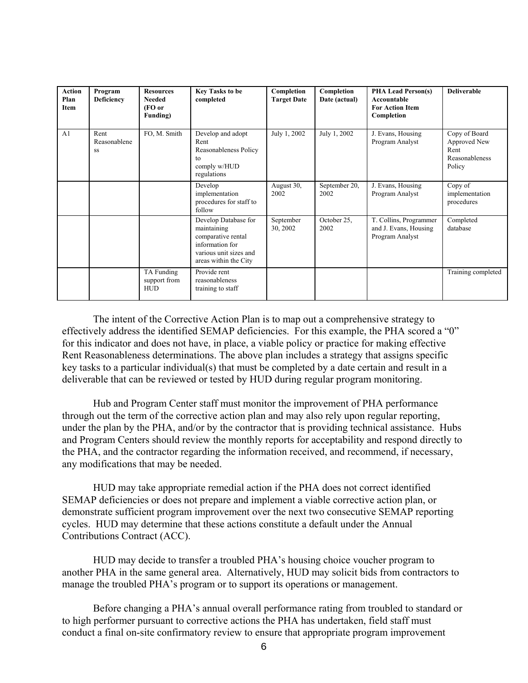| <b>Action</b><br>Plan<br>Item | Program<br><b>Deficiency</b> | <b>Resources</b><br><b>Needed</b><br>(FO or<br>Funding) | <b>Key Tasks to be</b><br>completed                                                                                             | Completion<br><b>Target Date</b> | Completion<br>Date (actual) | <b>PHA Lead Person(s)</b><br>Accountable<br><b>For Action Item</b><br>Completion | <b>Deliverable</b>                                                |
|-------------------------------|------------------------------|---------------------------------------------------------|---------------------------------------------------------------------------------------------------------------------------------|----------------------------------|-----------------------------|----------------------------------------------------------------------------------|-------------------------------------------------------------------|
| A <sub>1</sub>                | Rent<br>Reasonablene<br>SS   | FO, M. Smith                                            | Develop and adopt<br>Rent<br>Reasonableness Policy<br>to<br>comply w/HUD<br>regulations                                         | July 1, 2002                     | July 1, 2002                | J. Evans, Housing<br>Program Analyst                                             | Copy of Board<br>Approved New<br>Rent<br>Reasonableness<br>Policy |
|                               |                              |                                                         | Develop<br>implementation<br>procedures for staff to<br>follow                                                                  | August 30,<br>2002               | September 20,<br>2002       | J. Evans, Housing<br>Program Analyst                                             | Copy of<br>implementation<br>procedures                           |
|                               |                              |                                                         | Develop Database for<br>maintaining<br>comparative rental<br>information for<br>various unit sizes and<br>areas within the City | September<br>30, 2002            | October 25,<br>2002         | T. Collins, Programmer<br>and J. Evans, Housing<br>Program Analyst               | Completed<br>database                                             |
|                               |                              | TA Funding<br>support from<br><b>HUD</b>                | Provide rent<br>reasonableness<br>training to staff                                                                             |                                  |                             |                                                                                  | Training completed                                                |

The intent of the Corrective Action Plan is to map out a comprehensive strategy to effectively address the identified SEMAP deficiencies. For this example, the PHA scored a "0" for this indicator and does not have, in place, a viable policy or practice for making effective Rent Reasonableness determinations. The above plan includes a strategy that assigns specific key tasks to a particular individual(s) that must be completed by a date certain and result in a deliverable that can be reviewed or tested by HUD during regular program monitoring.

Hub and Program Center staff must monitor the improvement of PHA performance through out the term of the corrective action plan and may also rely upon regular reporting, under the plan by the PHA, and/or by the contractor that is providing technical assistance. Hubs and Program Centers should review the monthly reports for acceptability and respond directly to the PHA, and the contractor regarding the information received, and recommend, if necessary, any modifications that may be needed.

HUD may take appropriate remedial action if the PHA does not correct identified SEMAP deficiencies or does not prepare and implement a viable corrective action plan, or demonstrate sufficient program improvement over the next two consecutive SEMAP reporting cycles. HUD may determine that these actions constitute a default under the Annual Contributions Contract (ACC).

HUD may decide to transfer a troubled PHA's housing choice voucher program to another PHA in the same general area. Alternatively, HUD may solicit bids from contractors to manage the troubled PHA's program or to support its operations or management.

Before changing a PHA's annual overall performance rating from troubled to standard or to high performer pursuant to corrective actions the PHA has undertaken, field staff must conduct a final on-site confirmatory review to ensure that appropriate program improvement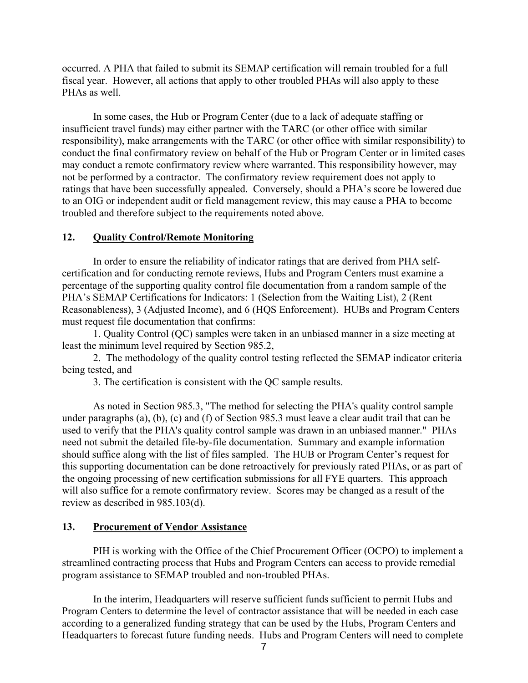occurred. A PHA that failed to submit its SEMAP certification will remain troubled for a full fiscal year. However, all actions that apply to other troubled PHAs will also apply to these PHAs as well.

In some cases, the Hub or Program Center (due to a lack of adequate staffing or insufficient travel funds) may either partner with the TARC (or other office with similar responsibility), make arrangements with the TARC (or other office with similar responsibility) to conduct the final confirmatory review on behalf of the Hub or Program Center or in limited cases may conduct a remote confirmatory review where warranted. This responsibility however, may not be performed by a contractor. The confirmatory review requirement does not apply to ratings that have been successfully appealed. Conversely, should a PHA's score be lowered due to an OIG or independent audit or field management review, this may cause a PHA to become troubled and therefore subject to the requirements noted above.

## **12. Quality Control/Remote Monitoring**

In order to ensure the reliability of indicator ratings that are derived from PHA selfcertification and for conducting remote reviews, Hubs and Program Centers must examine a percentage of the supporting quality control file documentation from a random sample of the PHA's SEMAP Certifications for Indicators: 1 (Selection from the Waiting List), 2 (Rent Reasonableness), 3 (Adjusted Income), and 6 (HQS Enforcement). HUBs and Program Centers must request file documentation that confirms:

1. Quality Control (QC) samples were taken in an unbiased manner in a size meeting at least the minimum level required by Section 985.2,

2. The methodology of the quality control testing reflected the SEMAP indicator criteria being tested, and

3. The certification is consistent with the QC sample results.

As noted in Section 985.3, "The method for selecting the PHA's quality control sample under paragraphs (a), (b), (c) and (f) of Section 985.3 must leave a clear audit trail that can be used to verify that the PHA's quality control sample was drawn in an unbiased manner." PHAs need not submit the detailed file-by-file documentation. Summary and example information should suffice along with the list of files sampled. The HUB or Program Center's request for this supporting documentation can be done retroactively for previously rated PHAs, or as part of the ongoing processing of new certification submissions for all FYE quarters. This approach will also suffice for a remote confirmatory review. Scores may be changed as a result of the review as described in 985.103(d).

## **13. Procurement of Vendor Assistance**

PIH is working with the Office of the Chief Procurement Officer (OCPO) to implement a streamlined contracting process that Hubs and Program Centers can access to provide remedial program assistance to SEMAP troubled and non-troubled PHAs.

In the interim, Headquarters will reserve sufficient funds sufficient to permit Hubs and Program Centers to determine the level of contractor assistance that will be needed in each case according to a generalized funding strategy that can be used by the Hubs, Program Centers and Headquarters to forecast future funding needs. Hubs and Program Centers will need to complete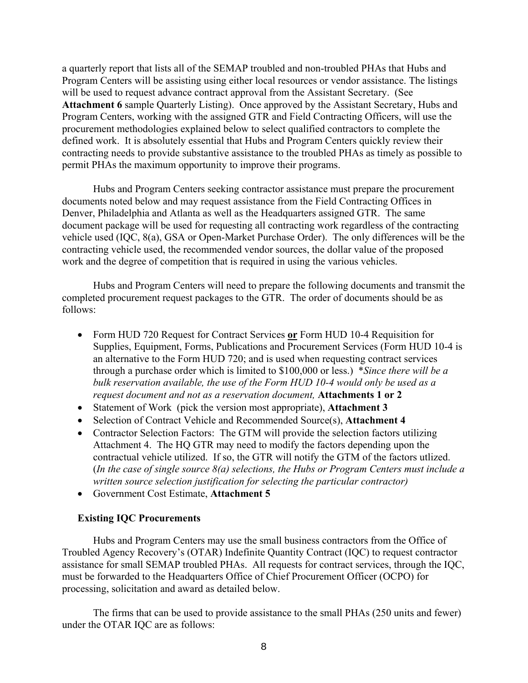a quarterly report that lists all of the SEMAP troubled and non-troubled PHAs that Hubs and Program Centers will be assisting using either local resources or vendor assistance. The listings will be used to request advance contract approval from the Assistant Secretary. (See **Attachment 6** sample Quarterly Listing). Once approved by the Assistant Secretary, Hubs and Program Centers, working with the assigned GTR and Field Contracting Officers, will use the procurement methodologies explained below to select qualified contractors to complete the defined work. It is absolutely essential that Hubs and Program Centers quickly review their contracting needs to provide substantive assistance to the troubled PHAs as timely as possible to permit PHAs the maximum opportunity to improve their programs.

Hubs and Program Centers seeking contractor assistance must prepare the procurement documents noted below and may request assistance from the Field Contracting Offices in Denver, Philadelphia and Atlanta as well as the Headquarters assigned GTR. The same document package will be used for requesting all contracting work regardless of the contracting vehicle used (IQC, 8(a), GSA or Open-Market Purchase Order). The only differences will be the contracting vehicle used, the recommended vendor sources, the dollar value of the proposed work and the degree of competition that is required in using the various vehicles.

Hubs and Program Centers will need to prepare the following documents and transmit the completed procurement request packages to the GTR. The order of documents should be as follows:

- Form HUD 720 Request for Contract Services **or** Form HUD 10-4 Requisition for Supplies, Equipment, Forms, Publications and Procurement Services (Form HUD 10-4 is an alternative to the Form HUD 720; and is used when requesting contract services through a purchase order which is limited to \$100,000 or less.) \**Since there will be a bulk reservation available, the use of the Form HUD 10-4 would only be used as a request document and not as a reservation document,* **Attachments 1 or 2**
- Statement of Work (pick the version most appropriate), **Attachment 3**
- Selection of Contract Vehicle and Recommended Source(s), **Attachment 4**
- Contractor Selection Factors: The GTM will provide the selection factors utilizing Attachment 4. The HQ GTR may need to modify the factors depending upon the contractual vehicle utilized. If so, the GTR will notify the GTM of the factors utlized. (*In the case of single source 8(a) selections, the Hubs or Program Centers must include a written source selection justification for selecting the particular contractor)*
- Government Cost Estimate, **Attachment 5**

#### **Existing IQC Procurements**

Hubs and Program Centers may use the small business contractors from the Office of Troubled Agency Recovery's (OTAR) Indefinite Quantity Contract (IQC) to request contractor assistance for small SEMAP troubled PHAs. All requests for contract services, through the IQC, must be forwarded to the Headquarters Office of Chief Procurement Officer (OCPO) for processing, solicitation and award as detailed below.

The firms that can be used to provide assistance to the small PHAs (250 units and fewer) under the OTAR IQC are as follows: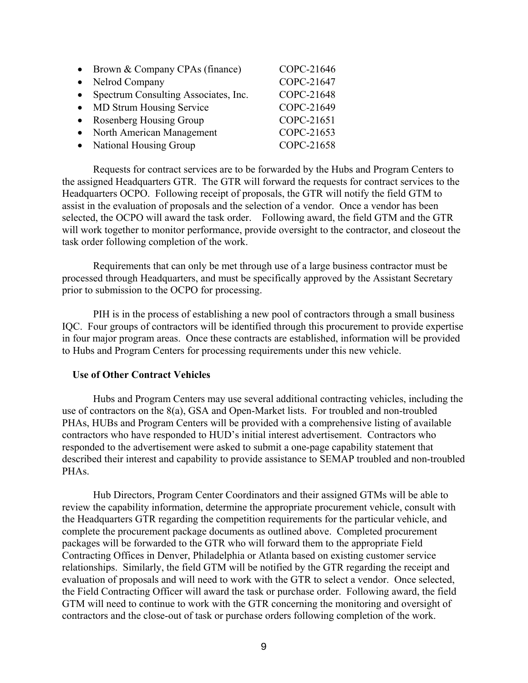| $\bullet$ | Brown & Company CPAs (finance)       | COPC-21646 |
|-----------|--------------------------------------|------------|
| $\bullet$ | Nelrod Company                       | COPC-21647 |
| $\bullet$ | Spectrum Consulting Associates, Inc. | COPC-21648 |
| $\bullet$ | MD Strum Housing Service             | COPC-21649 |
|           | • Rosenberg Housing Group            | COPC-21651 |
|           | North American Management            | COPC-21653 |
|           | • National Housing Group             | COPC-21658 |

Requests for contract services are to be forwarded by the Hubs and Program Centers to the assigned Headquarters GTR. The GTR will forward the requests for contract services to the Headquarters OCPO. Following receipt of proposals, the GTR will notify the field GTM to assist in the evaluation of proposals and the selection of a vendor. Once a vendor has been selected, the OCPO will award the task order. Following award, the field GTM and the GTR will work together to monitor performance, provide oversight to the contractor, and closeout the task order following completion of the work.

Requirements that can only be met through use of a large business contractor must be processed through Headquarters, and must be specifically approved by the Assistant Secretary prior to submission to the OCPO for processing.

PIH is in the process of establishing a new pool of contractors through a small business IQC. Four groups of contractors will be identified through this procurement to provide expertise in four major program areas. Once these contracts are established, information will be provided to Hubs and Program Centers for processing requirements under this new vehicle.

### **Use of Other Contract Vehicles**

Hubs and Program Centers may use several additional contracting vehicles, including the use of contractors on the 8(a), GSA and Open-Market lists. For troubled and non-troubled PHAs, HUBs and Program Centers will be provided with a comprehensive listing of available contractors who have responded to HUD's initial interest advertisement. Contractors who responded to the advertisement were asked to submit a one-page capability statement that described their interest and capability to provide assistance to SEMAP troubled and non-troubled PHA<sub>s</sub>.

Hub Directors, Program Center Coordinators and their assigned GTMs will be able to review the capability information, determine the appropriate procurement vehicle, consult with the Headquarters GTR regarding the competition requirements for the particular vehicle, and complete the procurement package documents as outlined above. Completed procurement packages will be forwarded to the GTR who will forward them to the appropriate Field Contracting Offices in Denver, Philadelphia or Atlanta based on existing customer service relationships.Similarly, the field GTM will be notified by the GTR regarding the receipt and evaluation of proposals and will need to work with the GTR to select a vendor. Once selected, the Field Contracting Officer will award the task or purchase order. Following award, the field GTM will need to continue to work with the GTR concerning the monitoring and oversight of contractors and the close-out of task or purchase orders following completion of the work.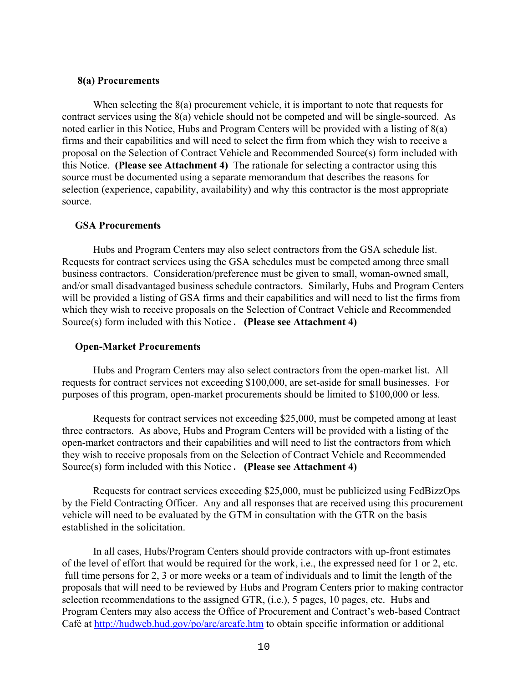## **8(a) Procurements**

When selecting the 8(a) procurement vehicle, it is important to note that requests for contract services using the 8(a) vehicle should not be competed and will be single-sourced. As noted earlier in this Notice, Hubs and Program Centers will be provided with a listing of 8(a) firms and their capabilities and will need to select the firm from which they wish to receive a proposal on the Selection of Contract Vehicle and Recommended Source(s) form included with this Notice. **(Please see Attachment 4)** The rationale for selecting a contractor using this source must be documented using a separate memorandum that describes the reasons for selection (experience, capability, availability) and why this contractor is the most appropriate source.

## **GSA Procurements**

Hubs and Program Centers may also select contractors from the GSA schedule list. Requests for contract services using the GSA schedules must be competed among three small business contractors. Consideration/preference must be given to small, woman-owned small, and/or small disadvantaged business schedule contractors. Similarly, Hubs and Program Centers will be provided a listing of GSA firms and their capabilities and will need to list the firms from which they wish to receive proposals on the Selection of Contract Vehicle and Recommended Source(s) form included with this Notice. **(Please see Attachment 4)**

# **Open-Market Procurements**

Hubs and Program Centers may also select contractors from the open-market list. All requests for contract services not exceeding \$100,000, are set-aside for small businesses. For purposes of this program, open-market procurements should be limited to \$100,000 or less.

Requests for contract services not exceeding \$25,000, must be competed among at least three contractors. As above, Hubs and Program Centers will be provided with a listing of the open-market contractors and their capabilities and will need to list the contractors from which they wish to receive proposals from on the Selection of Contract Vehicle and Recommended Source(s) form included with this Notice. **(Please see Attachment 4)**

Requests for contract services exceeding \$25,000, must be publicized using FedBizzOps by the Field Contracting Officer. Any and all responses that are received using this procurement vehicle will need to be evaluated by the GTM in consultation with the GTR on the basis established in the solicitation.

In all cases, Hubs/Program Centers should provide contractors with up-front estimates of the level of effort that would be required for the work, i.e., the expressed need for 1 or 2, etc. full time persons for 2, 3 or more weeks or a team of individuals and to limit the length of the proposals that will need to be reviewed by Hubs and Program Centers prior to making contractor selection recommendations to the assigned GTR, (i.e.), 5 pages, 10 pages, etc. Hubs and Program Centers may also access the Office of Procurement and Contract's web-based Contract Café at http://hudweb.hud.gov/po/arc/arcafe.htm to obtain specific information or additional